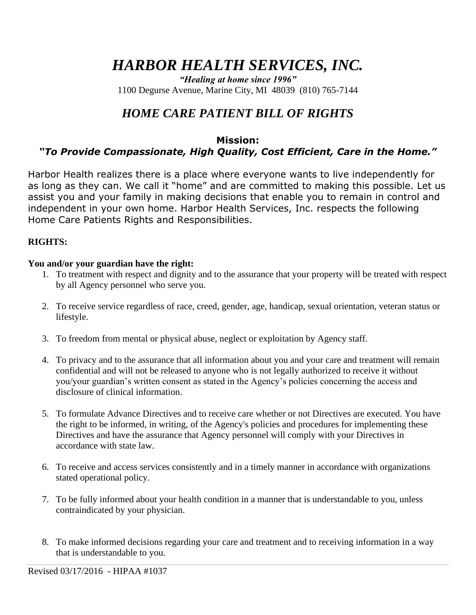# *HARBOR HEALTH SERVICES, INC.*

*"Healing at home since 1996"* 1100 Degurse Avenue, Marine City, MI 48039 (810) 765-7144

## *HOME CARE PATIENT BILL OF RIGHTS*

#### **Mission:**

### *"To Provide Compassionate, High Quality, Cost Efficient, Care in the Home."*

Harbor Health realizes there is a place where everyone wants to live independently for as long as they can. We call it "home" and are committed to making this possible. Let us assist you and your family in making decisions that enable you to remain in control and independent in your own home. Harbor Health Services, Inc. respects the following Home Care Patients Rights and Responsibilities.

#### **RIGHTS:**

#### **You and/or your guardian have the right:**

- 1. To treatment with respect and dignity and to the assurance that your property will be treated with respect by all Agency personnel who serve you.
- 2. To receive service regardless of race, creed, gender, age, handicap, sexual orientation, veteran status or lifestyle.
- 3. To freedom from mental or physical abuse, neglect or exploitation by Agency staff.
- 4. To privacy and to the assurance that all information about you and your care and treatment will remain confidential and will not be released to anyone who is not legally authorized to receive it without you/your guardian's written consent as stated in the Agency's policies concerning the access and disclosure of clinical information.
- 5. To formulate Advance Directives and to receive care whether or not Directives are executed. You have the right to be informed, in writing, of the Agency's policies and procedures for implementing these Directives and have the assurance that Agency personnel will comply with your Directives in accordance with state law.
- 6. To receive and access services consistently and in a timely manner in accordance with organizations stated operational policy.
- 7. To be fully informed about your health condition in a manner that is understandable to you, unless contraindicated by your physician.
- 8. To make informed decisions regarding your care and treatment and to receiving information in a way that is understandable to you.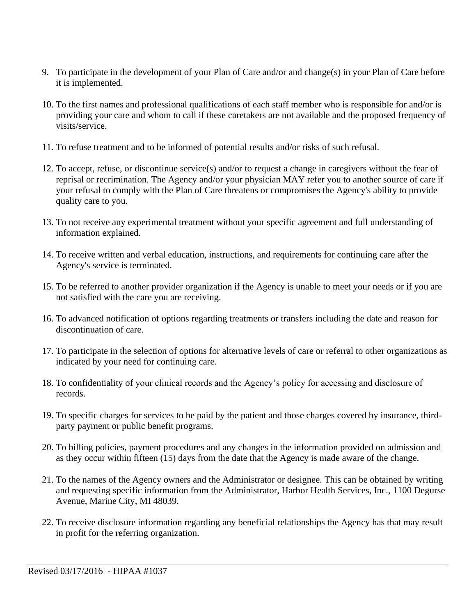- 9. To participate in the development of your Plan of Care and/or and change(s) in your Plan of Care before it is implemented.
- 10. To the first names and professional qualifications of each staff member who is responsible for and/or is providing your care and whom to call if these caretakers are not available and the proposed frequency of visits/service.
- 11. To refuse treatment and to be informed of potential results and/or risks of such refusal.
- 12. To accept, refuse, or discontinue service(s) and/or to request a change in caregivers without the fear of reprisal or recrimination. The Agency and/or your physician MAY refer you to another source of care if your refusal to comply with the Plan of Care threatens or compromises the Agency's ability to provide quality care to you.
- 13. To not receive any experimental treatment without your specific agreement and full understanding of information explained.
- 14. To receive written and verbal education, instructions, and requirements for continuing care after the Agency's service is terminated.
- 15. To be referred to another provider organization if the Agency is unable to meet your needs or if you are not satisfied with the care you are receiving.
- 16. To advanced notification of options regarding treatments or transfers including the date and reason for discontinuation of care.
- 17. To participate in the selection of options for alternative levels of care or referral to other organizations as indicated by your need for continuing care.
- 18. To confidentiality of your clinical records and the Agency's policy for accessing and disclosure of records.
- 19. To specific charges for services to be paid by the patient and those charges covered by insurance, thirdparty payment or public benefit programs.
- 20. To billing policies, payment procedures and any changes in the information provided on admission and as they occur within fifteen (15) days from the date that the Agency is made aware of the change.
- 21. To the names of the Agency owners and the Administrator or designee. This can be obtained by writing and requesting specific information from the Administrator, Harbor Health Services, Inc., 1100 Degurse Avenue, Marine City, MI 48039.
- 22. To receive disclosure information regarding any beneficial relationships the Agency has that may result in profit for the referring organization.